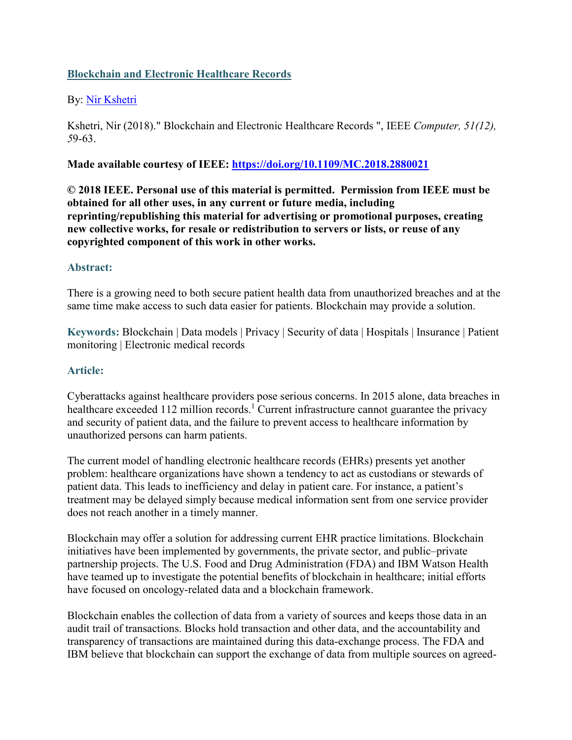### **Blockchain and Electronic Healthcare Records**

### By: [Nir Kshetri](https://libres.uncg.edu/ir/uncg/clist.aspx?id=760)

Kshetri, Nir (2018)." Blockchain and Electronic Healthcare Records ", IEEE *Computer, 51(12), 5*9-63.

#### **Made available courtesy of IEEE:<https://doi.org/10.1109/MC.2018.2880021>**

**© 2018 IEEE. Personal use of this material is permitted. Permission from IEEE must be obtained for all other uses, in any current or future media, including reprinting/republishing this material for advertising or promotional purposes, creating new collective works, for resale or redistribution to servers or lists, or reuse of any copyrighted component of this work in other works.**

#### **Abstract:**

There is a growing need to both secure patient health data from unauthorized breaches and at the same time make access to such data easier for patients. Blockchain may provide a solution.

**Keywords:** Blockchain | Data models | Privacy | Security of data | Hospitals | Insurance | Patient monitoring | Electronic medical records

#### **Article:**

Cyberattacks against healthcare providers pose serious concerns. In 2015 alone, data breaches in healthcare exceeded 112 million records.<sup>1</sup> Current infrastructure cannot guarantee the privacy and security of patient data, and the failure to prevent access to healthcare information by unauthorized persons can harm patients.

The current model of handling electronic healthcare records (EHRs) presents yet another problem: healthcare organizations have shown a tendency to act as custodians or stewards of patient data. This leads to inefficiency and delay in patient care. For instance, a patient's treatment may be delayed simply because medical information sent from one service provider does not reach another in a timely manner.

Blockchain may offer a solution for addressing current EHR practice limitations. Blockchain initiatives have been implemented by governments, the private sector, and public–private partnership projects. The U.S. Food and Drug Administration (FDA) and IBM Watson Health have teamed up to investigate the potential benefits of blockchain in healthcare; initial efforts have focused on oncology-related data and a blockchain framework.

Blockchain enables the collection of data from a variety of sources and keeps those data in an audit trail of transactions. Blocks hold transaction and other data, and the accountability and transparency of transactions are maintained during this data-exchange process. The FDA and IBM believe that blockchain can support the exchange of data from multiple sources on agreed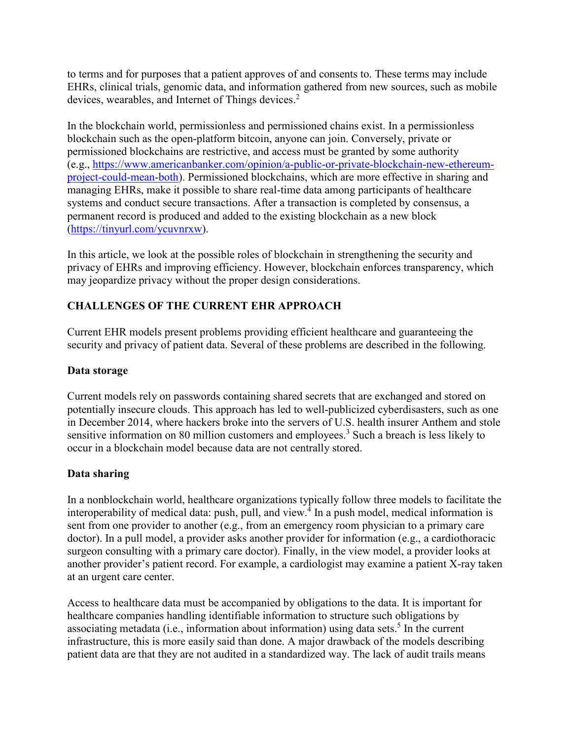to terms and for purposes that a patient approves of and consents to. These terms may include EHRs, clinical trials, genomic data, and information gathered from new sources, such as mobile devices, wearables, and Internet of Things devices.<sup>2</sup>

In the blockchain world, permissionless and permissioned chains exist. In a permissionless blockchain such as the open-platform bitcoin, anyone can join. Conversely, private or permissioned blockchains are restrictive, and access must be granted by some authority (e.g., [https://www.americanbanker.com/opinion/a-public-or-private-blockchain-new-ethereum](https://www.americanbanker.com/opinion/a-public-or-private-blockchain-new-ethereum-project-could-mean-both)[project-could-mean-both\)](https://www.americanbanker.com/opinion/a-public-or-private-blockchain-new-ethereum-project-could-mean-both). Permissioned blockchains, which are more effective in sharing and managing EHRs, make it possible to share real-time data among participants of healthcare systems and conduct secure transactions. After a transaction is completed by consensus, a permanent record is produced and added to the existing blockchain as a new block [\(https://tinyurl.com/ycuvnrxw\)](https://tinyurl.com/ycuvnrxw).

In this article, we look at the possible roles of blockchain in strengthening the security and privacy of EHRs and improving efficiency. However, blockchain enforces transparency, which may jeopardize privacy without the proper design considerations.

# **CHALLENGES OF THE CURRENT EHR APPROACH**

Current EHR models present problems providing efficient healthcare and guaranteeing the security and privacy of patient data. Several of these problems are described in the following.

### **Data storage**

Current models rely on passwords containing shared secrets that are exchanged and stored on potentially insecure clouds. This approach has led to well-publicized cyberdisasters, such as one in December 2014, where hackers broke into the servers of U.S. health insurer Anthem and stole sensitive information on 80 million customers and employees.<sup>3</sup> Such a breach is less likely to occur in a blockchain model because data are not centrally stored.

# **Data sharing**

In a nonblockchain world, healthcare organizations typically follow three models to facilitate the interoperability of medical data: push, pull, and view.<sup>4</sup> In a push model, medical information is sent from one provider to another (e.g., from an emergency room physician to a primary care doctor). In a pull model, a provider asks another provider for information (e.g., a cardiothoracic surgeon consulting with a primary care doctor). Finally, in the view model, a provider looks at another provider's patient record. For example, a cardiologist may examine a patient X-ray taken at an urgent care center.

Access to healthcare data must be accompanied by obligations to the data. It is important for healthcare companies handling identifiable information to structure such obligations by associating metadata (i.e., information about information) using data sets. <sup>5</sup> In the current infrastructure, this is more easily said than done. A major drawback of the models describing patient data are that they are not audited in a standardized way. The lack of audit trails means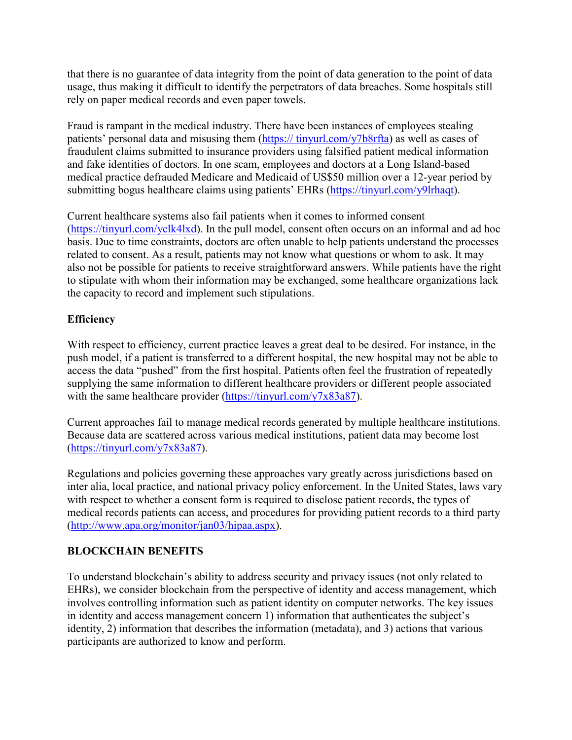that there is no guarantee of data integrity from the point of data generation to the point of data usage, thus making it difficult to identify the perpetrators of data breaches. Some hospitals still rely on paper medical records and even paper towels.

Fraud is rampant in the medical industry. There have been instances of employees stealing patients' personal data and misusing them (https:// tinyurl.com/y7b8rfta) as well as cases of fraudulent claims submitted to insurance providers using falsified patient medical information and fake identities of doctors. In one scam, employees and doctors at a Long Island-based medical practice defrauded Medicare and Medicaid of US\$50 million over a 12-year period by submitting bogus healthcare claims using patients' EHRs [\(https://tinyurl.com/y9lrhaqt\)](https://tinyurl.com/y9lrhaqt).

Current healthcare systems also fail patients when it comes to informed consent [\(https://tinyurl.com/yclk4lxd\)](https://tinyurl.com/yclk4lxd). In the pull model, consent often occurs on an informal and ad hoc basis. Due to time constraints, doctors are often unable to help patients understand the processes related to consent. As a result, patients may not know what questions or whom to ask. It may also not be possible for patients to receive straightforward answers. While patients have the right to stipulate with whom their information may be exchanged, some healthcare organizations lack the capacity to record and implement such stipulations.

# **Efficiency**

With respect to efficiency, current practice leaves a great deal to be desired. For instance, in the push model, if a patient is transferred to a different hospital, the new hospital may not be able to access the data "pushed" from the first hospital. Patients often feel the frustration of repeatedly supplying the same information to different healthcare providers or different people associated with the same healthcare provider [\(https://tinyurl.com/y7x83a87\)](https://tinyurl.com/y7x83a87).

Current approaches fail to manage medical records generated by multiple healthcare institutions. Because data are scattered across various medical institutions, patient data may become lost [\(https://tinyurl.com/y7x83a87\)](https://tinyurl.com/y7x83a87).

Regulations and policies governing these approaches vary greatly across jurisdictions based on inter alia, local practice, and national privacy policy enforcement. In the United States, laws vary with respect to whether a consent form is required to disclose patient records, the types of medical records patients can access, and procedures for providing patient records to a third party [\(http://www.apa.org/monitor/jan03/hipaa.aspx\)](http://www.apa.org/monitor/jan03/hipaa.aspx).

### **BLOCKCHAIN BENEFITS**

To understand blockchain's ability to address security and privacy issues (not only related to EHRs), we consider blockchain from the perspective of identity and access management, which involves controlling information such as patient identity on computer networks. The key issues in identity and access management concern 1) information that authenticates the subject's identity, 2) information that describes the information (metadata), and 3) actions that various participants are authorized to know and perform.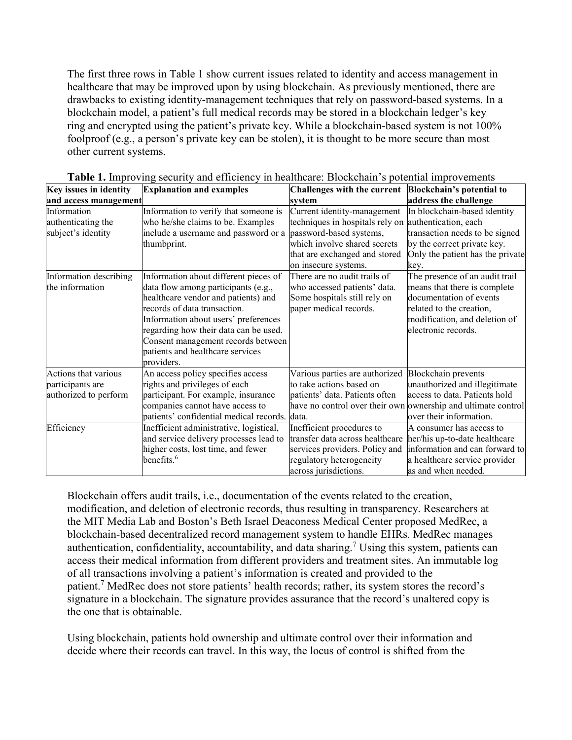The first three rows in Table 1 show current issues related to identity and access management in healthcare that may be improved upon by using blockchain. As previously mentioned, there are drawbacks to existing identity-management techniques that rely on password-based systems. In a blockchain model, a patient's full medical records may be stored in a blockchain ledger's key ring and encrypted using the patient's private key. While a blockchain-based system is not 100% foolproof (e.g., a person's private key can be stolen), it is thought to be more secure than most other current systems.

| Key issues in identity | <b>Explanation and examples</b>         | Challenges with the current     | <b>Blockchain's potential to</b>                              |
|------------------------|-----------------------------------------|---------------------------------|---------------------------------------------------------------|
| and access management  |                                         | svstem                          | address the challenge                                         |
| Information            | Information to verify that someone is   | Current identity-management     | In blockchain-based identity                                  |
| authenticating the     | who he/she claims to be. Examples       | techniques in hospitals rely on | authentication, each                                          |
| subject's identity     | include a username and password or a    | password-based systems,         | transaction needs to be signed                                |
|                        | thumbprint.                             | which involve shared secrets    | by the correct private key.                                   |
|                        |                                         | that are exchanged and stored   | Only the patient has the private                              |
|                        |                                         | on insecure systems.            | key.                                                          |
| Information describing | Information about different pieces of   | There are no audit trails of    | The presence of an audit trail                                |
| the information        | data flow among participants (e.g.,     | who accessed patients' data.    | means that there is complete                                  |
|                        | healthcare vendor and patients) and     | Some hospitals still rely on    | documentation of events                                       |
|                        | records of data transaction.            | paper medical records.          | related to the creation,                                      |
|                        | Information about users' preferences    |                                 | modification, and deletion of                                 |
|                        | regarding how their data can be used.   |                                 | electronic records.                                           |
|                        | Consent management records between      |                                 |                                                               |
|                        | patients and healthcare services        |                                 |                                                               |
|                        | providers.                              |                                 |                                                               |
| Actions that various   | An access policy specifies access       | Various parties are authorized  | <b>Blockchain</b> prevents                                    |
| participants are       | rights and privileges of each           | to take actions based on        | unauthorized and illegitimate                                 |
| authorized to perform  | participant. For example, insurance     | patients' data. Patients often  | access to data. Patients hold                                 |
|                        | companies cannot have access to         |                                 | have no control over their own ownership and ultimate control |
|                        | patients' confidential medical records. | data.                           | over their information.                                       |
| Efficiency             | Inefficient administrative, logistical, | Inefficient procedures to       | A consumer has access to                                      |
|                        | and service delivery processes lead to  | transfer data across healthcare | her/his up-to-date healthcare                                 |
|                        | higher costs, lost time, and fewer      | services providers. Policy and  | information and can forward to                                |
|                        | benefits. $6$                           | regulatory heterogeneity        | a healthcare service provider                                 |
|                        |                                         | across jurisdictions.           | as and when needed.                                           |

**Table 1.** Improving security and efficiency in healthcare: Blockchain's potential improvement[s](https://ieeexplore.ieee.org/mediastore_new/IEEE/content/media/2/8636422/8636458/cybertrust.t1-2880021-large.gif)

Blockchain offers audit trails, i.e., documentation of the events related to the creation, modification, and deletion of electronic records, thus resulting in transparency. Researchers at the MIT Media Lab and Boston's Beth Israel Deaconess Medical Center proposed MedRec, a blockchain-based decentralized record management system to handle EHRs. MedRec manages authentication, confidentiality, accountability, and data sharing.<sup>7</sup> Using this system, patients can access their medical information from different providers and treatment sites. An immutable log of all transactions involving a patient's information is created and provided to the patient.7 MedRec does not store patients' health records; rather, its system stores the record's signature in a blockchain. The signature provides assurance that the record's unaltered copy is the one that is obtainable.

Using blockchain, patients hold ownership and ultimate control over their information and decide where their records can travel. In this way, the locus of control is shifted from the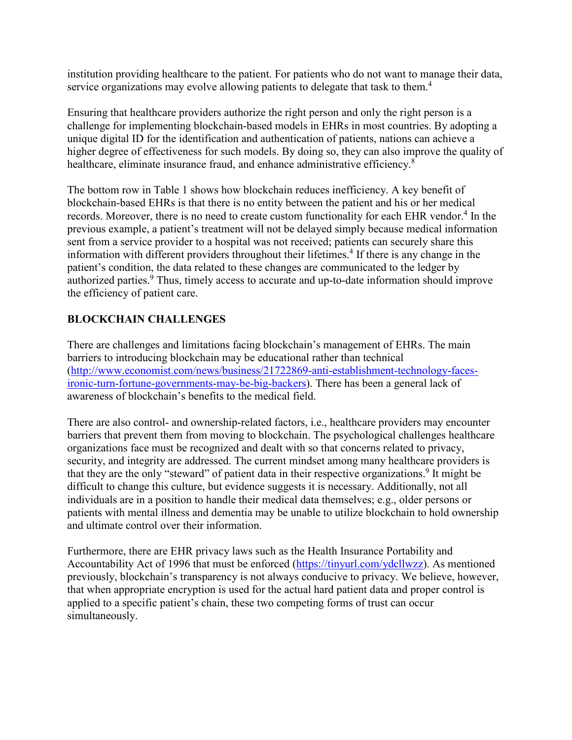institution providing healthcare to the patient. For patients who do not want to manage their data, service organizations may evolve allowing patients to delegate that task to them.<sup>4</sup>

Ensuring that healthcare providers authorize the right person and only the right person is a challenge for implementing blockchain-based models in EHRs in most countries. By adopting a unique digital ID for the identification and authentication of patients, nations can achieve a higher degree of effectiveness for such models. By doing so, they can also improve the quality of healthcare, eliminate insurance fraud, and enhance administrative efficiency.<sup>8</sup>

The bottom row in Table 1 shows how blockchain reduces inefficiency. A key benefit of blockchain-based EHRs is that there is no entity between the patient and his or her medical records. Moreover, there is no need to create custom functionality for each EHR vendor.<sup>4</sup> In the previous example, a patient's treatment will not be delayed simply because medical information sent from a service provider to a hospital was not received; patients can securely share this information with different providers throughout their lifetimes.<sup>4</sup> If there is any change in the patient's condition, the data related to these changes are communicated to the ledger by authorized parties.<sup>9</sup> Thus, timely access to accurate and up-to-date information should improve the efficiency of patient care.

# **BLOCKCHAIN CHALLENGES**

There are challenges and limitations facing blockchain's management of EHRs. The main barriers to introducing blockchain may be educational rather than technical [\(http://www.economist.com/news/business/21722869-anti-establishment-technology-faces](http://www.economist.com/news/business/21722869-anti-establishment-technology-faces-ironic-turn-fortune-governments-may-be-big-backers)[ironic-turn-fortune-governments-may-be-big-backers\)](http://www.economist.com/news/business/21722869-anti-establishment-technology-faces-ironic-turn-fortune-governments-may-be-big-backers). There has been a general lack of awareness of blockchain's benefits to the medical field.

There are also control- and ownership-related factors, *i.e.*, healthcare providers may encounter barriers that prevent them from moving to blockchain. The psychological challenges healthcare organizations face must be recognized and dealt with so that concerns related to privacy, security, and integrity are addressed. The current mindset among many healthcare providers is that they are the only "steward" of patient data in their respective organizations.<sup>9</sup> It might be difficult to change this culture, but evidence suggests it is necessary. Additionally, not all individuals are in a position to handle their medical data themselves; e.g., older persons or patients with mental illness and dementia may be unable to utilize blockchain to hold ownership and ultimate control over their information.

Furthermore, there are EHR privacy laws such as the Health Insurance Portability and Accountability Act of 1996 that must be enforced [\(https://tinyurl.com/ydcllwzz\)](https://tinyurl.com/ydcllwzz). As mentioned previously, blockchain's transparency is not always conducive to privacy. We believe, however, that when appropriate encryption is used for the actual hard patient data and proper control is applied to a specific patient's chain, these two competing forms of trust can occur simultaneously.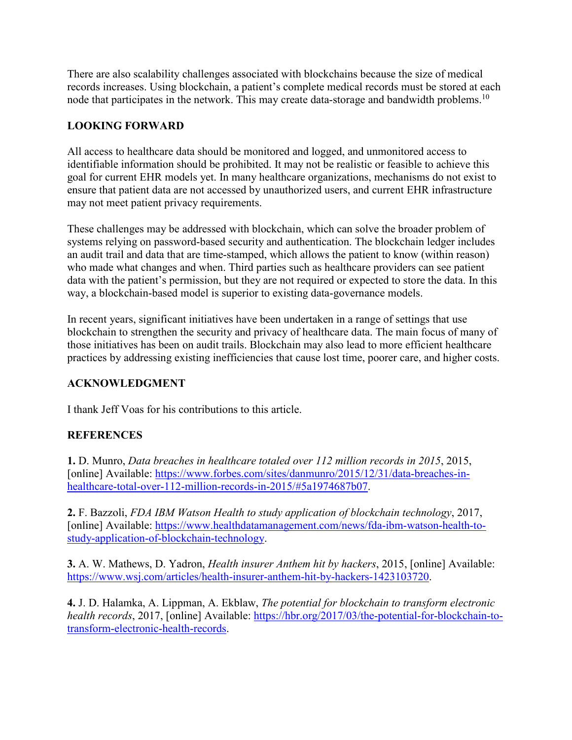There are also scalability challenges associated with blockchains because the size of medical records increases. Using blockchain, a patient's complete medical records must be stored at each node that participates in the network. This may create data-storage and bandwidth problems.<sup>10</sup>

### **LOOKING FORWARD**

All access to healthcare data should be monitored and logged, and unmonitored access to identifiable information should be prohibited. It may not be realistic or feasible to achieve this goal for current EHR models yet. In many healthcare organizations, mechanisms do not exist to ensure that patient data are not accessed by unauthorized users, and current EHR infrastructure may not meet patient privacy requirements.

These challenges may be addressed with blockchain, which can solve the broader problem of systems relying on password-based security and authentication. The blockchain ledger includes an audit trail and data that are time-stamped, which allows the patient to know (within reason) who made what changes and when. Third parties such as healthcare providers can see patient data with the patient's permission, but they are not required or expected to store the data. In this way, a blockchain-based model is superior to existing data-governance models.

In recent years, significant initiatives have been undertaken in a range of settings that use blockchain to strengthen the security and privacy of healthcare data. The main focus of many of those initiatives has been on audit trails. Blockchain may also lead to more efficient healthcare practices by addressing existing inefficiencies that cause lost time, poorer care, and higher costs.

### **ACKNOWLEDGMENT**

I thank Jeff Voas for his contributions to this article.

# **REFERENCES**

**1.** D. Munro, *Data breaches in healthcare totaled over 112 million records in 2015*, 2015, [online] Available: [https://www.forbes.com/sites/danmunro/2015/12/31/data-breaches-in](https://www.forbes.com/sites/danmunro/2015/12/31/data-breaches-in-healthcare-total-over-112-million-records-in-2015/#5a1974687b07)[healthcare-total-over-112-million-records-in-2015/#5a1974687b07.](https://www.forbes.com/sites/danmunro/2015/12/31/data-breaches-in-healthcare-total-over-112-million-records-in-2015/#5a1974687b07)

**2.** F. Bazzoli, *FDA IBM Watson Health to study application of blockchain technology*, 2017, [online] Available: [https://www.healthdatamanagement.com/news/fda-ibm-watson-health-to](https://www.healthdatamanagement.com/news/fda-ibm-watson-health-to-study-application-of-blockchain-technology)[study-application-of-blockchain-technology.](https://www.healthdatamanagement.com/news/fda-ibm-watson-health-to-study-application-of-blockchain-technology)

**3.** A. W. Mathews, D. Yadron, *Health insurer Anthem hit by hackers*, 2015, [online] Available: [https://www.wsj.com/articles/health-insurer-anthem-hit-by-hackers-1423103720.](https://www.wsj.com/articles/health-insurer-anthem-hit-by-hackers-1423103720)

**4.** J. D. Halamka, A. Lippman, A. Ekblaw, *The potential for blockchain to transform electronic health records*, 2017, [online] Available: [https://hbr.org/2017/03/the-potential-for-blockchain-to](https://hbr.org/2017/03/the-potential-for-blockchain-to-transform-electronic-health-records)[transform-electronic-health-records.](https://hbr.org/2017/03/the-potential-for-blockchain-to-transform-electronic-health-records)